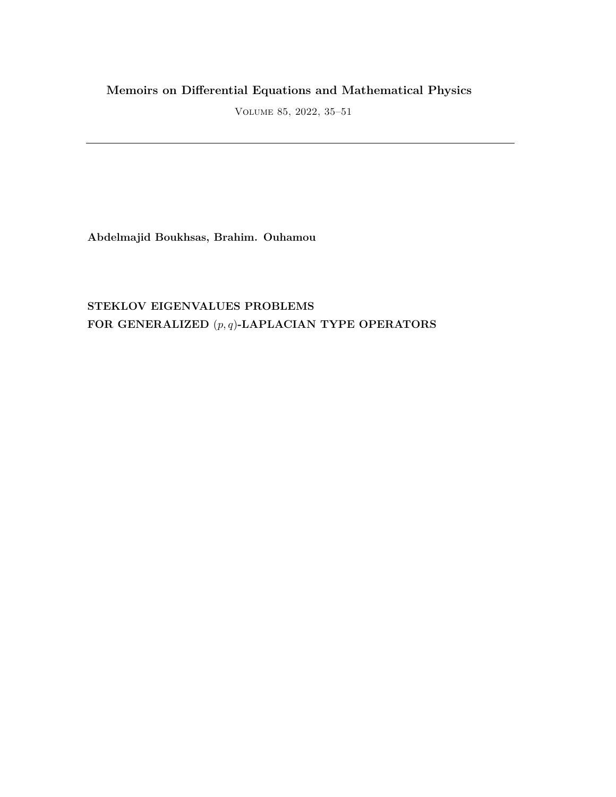# **Memoirs on Differential Equations and Mathematical Physics**

Volume 85, 2022, 35–51

**Abdelmajid Boukhsas, Brahim. Ouhamou**

# **STEKLOV EIGENVALUES PROBLEMS FOR GENERALIZED** (*p, q*)**-LAPLACIAN TYPE OPERATORS**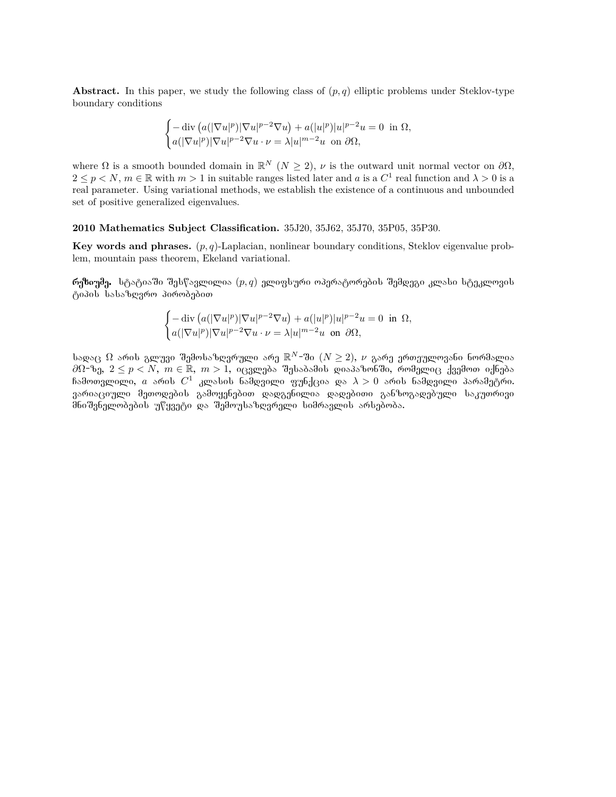**Abstract.** In this paper, we study the following class of (*p, q*) elliptic problems under Steklov-type boundary conditions

$$
\begin{cases} -\operatorname{div}\left( a(|\nabla u|^p)|\nabla u|^{p-2}\nabla u\right) + a(|u|^p)|u|^{p-2}u = 0 \ \ \text{in}\ \Omega,\\ a(|\nabla u|^p)|\nabla u|^{p-2}\nabla u\cdot \nu = \lambda |u|^{m-2}u \ \ \text{on}\ \partial \Omega,\end{cases}
$$

where  $\Omega$  is a smooth bounded domain in  $\mathbb{R}^N$  ( $N \geq 2$ ),  $\nu$  is the outward unit normal vector on  $\partial\Omega$ ,  $2 \leq p < N$ ,  $m \in \mathbb{R}$  with  $m > 1$  in suitable ranges listed later and a is a  $C^1$  real function and  $\lambda > 0$  is a real parameter. Using variational methods, we establish the existence of a continuous and unbounded set of positive generalized eigenvalues.

**2010 Mathematics Subject Classification.** 35J20, 35J62, 35J70, 35P05, 35P30.

**Key words and phrases.** (*p, q*)-Laplacian, nonlinear boundary conditions, Steklov eigenvalue problem, mountain pass theorem, Ekeland variational.

 $\mathbf{\hat{m}}$ ზიუმე. სტატიაში შესწავლილია  $(p, q)$  ელიფსური ოპერატორების შემდეგი კლასი სტეკლოვის ტიპის სასაზღვრო პირობებით

$$
\begin{cases}\n-\operatorname{div}\left(a(|\nabla u|^p)|\nabla u|^{p-2}\nabla u\right)+a(|u|^p)|u|^{p-2}u=0 & \text{in } \Omega, \\
a(|\nabla u|^p)|\nabla u|^{p-2}\nabla u\cdot\nu=\lambda|u|^{m-2}u & \text{on } \partial\Omega,\n\end{cases}
$$

სადაც  $\Omega$  არის გლუვი შემოსაზღვრული არე  $\mathbb{R}^N$ -ში  $(N\geq 2),\ \nu$  გარე ერთეულოვანი ნორმალია  $\partial\Omega$ −ზე, 2 ≤ *p* < *N*,  $m \in \mathbb{R}$ ,  $m > 1$ , იცვლება შესაბამის დიაპაზონში, რომელიც ქვემოთ იქნება ჩამოთვლილი,  $a$  არის  $C^1$  კლასის ნამდვილი ფუნქცია და  $\lambda>0$  არის ნამდვილი პარამეტრი. გარიაციული მეთოდების გამოყენებით დადგენილია დადებითი განზოგადებული საკუთრივი მნიშვნელობების უწყვეტი და შემოუსაზღვრელი სიმრავლის არსებობა.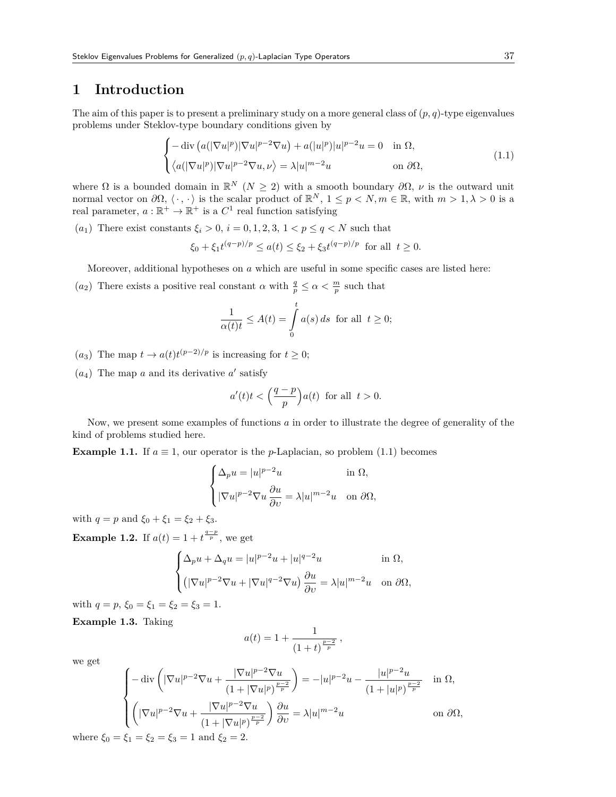## **1 Introduction**

The aim of this paper is to present a preliminary study on a more general class of  $(p, q)$ -type eigenvalues problems under Steklov-type boundary conditions given by

$$
\begin{cases}\n-\operatorname{div}\left(a(|\nabla u|^p)|\nabla u|^{p-2}\nabla u\right) + a(|u|^p)|u|^{p-2}u = 0 & \text{in } \Omega, \\
\langle a(|\nabla u|^p)|\nabla u|^{p-2}\nabla u, \nu\rangle = \lambda |u|^{m-2}u & \text{on } \partial\Omega,\n\end{cases}
$$
\n(1.1)

where  $\Omega$  is a bounded domain in  $\mathbb{R}^N$  ( $N \geq 2$ ) with a smooth boundary  $\partial \Omega$ ,  $\nu$  is the outward unit normal vector on  $\partial\Omega, \langle \cdot, \cdot \rangle$  is the scalar product of  $\mathbb{R}^N, 1 \leq p < N, m \in \mathbb{R}$ , with  $m > 1, \lambda > 0$  is a real parameter,  $a : \mathbb{R}^+ \to \mathbb{R}^+$  is a  $C^1$  real function satisfying

(*a*<sub>1</sub>) There exist constants  $\xi_i > 0$ ,  $i = 0, 1, 2, 3, 1 < p \le q < N$  such that

$$
\xi_0 + \xi_1 t^{(q-p)/p} \le a(t) \le \xi_2 + \xi_3 t^{(q-p)/p} \text{ for all } t \ge 0.
$$

Moreover, additional hypotheses on *a* which are useful in some specific cases are listed here:

(*a*<sub>2</sub>) There exists a positive real constant *α* with  $\frac{q}{p} \leq \alpha < \frac{m}{p}$  such that

$$
\frac{1}{\alpha(t)t} \le A(t) = \int_{0}^{t} a(s) ds \text{ for all } t \ge 0;
$$

 $(a_3)$  The map  $t \to a(t)t^{(p-2)/p}$  is increasing for  $t \geq 0$ ;

 $(a_4)$  The map *a* and its derivative *a'* satisfy

$$
a'(t)t < \left(\frac{q-p}{p}\right)a(t) \text{ for all } t > 0.
$$

Now, we present some examples of functions *a* in order to illustrate the degree of generality of the kind of problems studied here.

**Example 1.1.** If  $a \equiv 1$ , our operator is the *p*-Laplacian, so problem (1.1) becomes

$$
\begin{cases} \Delta_p u = |u|^{p-2}u & \text{in } \Omega, \\ \nabla u|^{p-2} \nabla u \frac{\partial u}{\partial v} = \lambda |u|^{m-2}u & \text{on } \partial \Omega, \end{cases}
$$

with  $q = p$  and  $\xi_0 + \xi_1 = \xi_2 + \xi_3$ .

**Example 1.2.** If  $a(t) = 1 + t^{\frac{q-p}{p}}$ , we get

$$
\begin{cases} \Delta_p u + \Delta_q u = |u|^{p-2}u + |u|^{q-2}u & \text{in } \Omega, \\ \left( |\nabla u|^{p-2} \nabla u + |\nabla u|^{q-2} \nabla u \right) \frac{\partial u}{\partial v} = \lambda |u|^{m-2}u & \text{on } \partial \Omega, \end{cases}
$$

with  $q = p$ ,  $\xi_0 = \xi_1 = \xi_2 = \xi_3 = 1$ .

**Example 1.3.** Taking

$$
a(t) = 1 + \frac{1}{(1+t)^{\frac{p-2}{p}}},
$$

we get

$$
\begin{cases}\n-\operatorname{div}\left(|\nabla u|^{p-2}\nabla u+\frac{|\nabla u|^{p-2}\nabla u}{(1+|\nabla u|^p)^{\frac{p-2}{p}}}\right)=-|u|^{p-2}u-\frac{|u|^{p-2}u}{(1+|u|^p)^{\frac{p-2}{p}}}\quad\text{in }\Omega, \\
\left(|\nabla u|^{p-2}\nabla u+\frac{|\nabla u|^{p-2}\nabla u}{(1+|\nabla u|^p)^{\frac{p-2}{p}}}\right)\frac{\partial u}{\partial v}=\lambda|u|^{m-2}u\n\end{cases}\n\text{ on }\partial\Omega,
$$
\n
$$
= \xi_1=\xi_2=\xi_3=1\text{ and }\xi_2=2.
$$

where  $\xi_0 = \xi_1 = \xi_2 = \xi_3 = 1$  and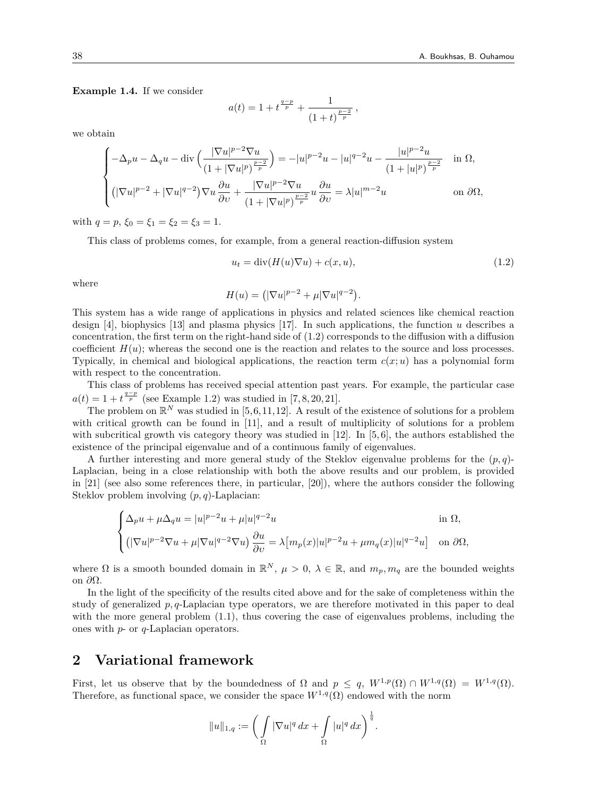**Example 1.4.** If we consider

$$
a(t) = 1 + t^{\frac{q-p}{p}} + \frac{1}{(1+t)^{\frac{p-2}{p}}},
$$

we obtain

$$
\begin{cases}\n-\Delta_p u - \Delta_q u - \operatorname{div}\left(\frac{|\nabla u|^{p-2}\nabla u}{(1+|\nabla u|^p)^{\frac{p-2}{p}}}\right) = -|u|^{p-2}u - |u|^{q-2}u - \frac{|u|^{p-2}u}{(1+|u|^p)^{\frac{p-2}{p}}} & \text{in } \Omega, \\
(\nabla u|^{p-2} + |\nabla u|^{q-2})\nabla u \frac{\partial u}{\partial v} + \frac{|\nabla u|^{p-2}\nabla u}{(1+|\nabla u|^p)^{\frac{p-2}{p}}}u \frac{\partial u}{\partial v} = \lambda |u|^{m-2}u & \text{on } \partial\Omega,\n\end{cases}
$$

with  $q = p$ ,  $\xi_0 = \xi_1 = \xi_2 = \xi_3 = 1$ .

This class of problems comes, for example, from a general reaction-diffusion system

$$
u_t = \text{div}(H(u)\nabla u) + c(x, u),\tag{1.2}
$$

where

$$
H(u) = \left( |\nabla u|^{p-2} + \mu |\nabla u|^{q-2} \right).
$$

This system has a wide range of applications in physics and related sciences like chemical reaction design [4], biophysics [13] and plasma physics [17]. In such applications, the function *u* describes a concentration, the first term on the right-hand side of (1.2) corresponds to the diffusion with a diffusion coefficient  $H(u)$ ; whereas the second one is the reaction and relates to the source and loss processes. Typically, in chemical and biological applications, the reaction term  $c(x; u)$  has a polynomial form with respect to the concentration.

This class of problems has received special attention past years. For example, the particular case  $a(t) = 1 + t^{\frac{q-p}{p}}$  (see Example 1.2) was studied in [7,8,20,21].

The problem on  $\mathbb{R}^N$  was studied in [5,6,11,12]. A result of the existence of solutions for a problem with critical growth can be found in [11], and a result of multiplicity of solutions for a problem with subcritical growth vis category theory was studied in  $|12|$ . In  $|5, 6|$ , the authors established the existence of the principal eigenvalue and of a continuous family of eigenvalues.

A further interesting and more general study of the Steklov eigenvalue problems for the (*p, q*)- Laplacian, being in a close relationship with both the above results and our problem, is provided in [21] (see also some references there, in particular, [20]), where the authors consider the following Steklov problem involving (*p, q*)-Laplacian:

$$
\begin{cases} \Delta_p u + \mu \Delta_q u = |u|^{p-2} u + \mu |u|^{q-2} u & \text{in } \Omega, \\ \left( |\nabla u|^{p-2} \nabla u + \mu |\nabla u|^{q-2} \nabla u \right) \frac{\partial u}{\partial v} = \lambda \big[ m_p(x) |u|^{p-2} u + \mu m_q(x) |u|^{q-2} u \big] & \text{on } \partial \Omega, \end{cases}
$$

where  $\Omega$  is a smooth bounded domain in  $\mathbb{R}^N$ ,  $\mu > 0$ ,  $\lambda \in \mathbb{R}$ , and  $m_p, m_q$  are the bounded weights on *∂*Ω.

In the light of the specificity of the results cited above and for the sake of completeness within the study of generalized *p, q*-Laplacian type operators, we are therefore motivated in this paper to deal with the more general problem  $(1.1)$ , thus covering the case of eigenvalues problems, including the ones with *p*- or *q*-Laplacian operators.

## **2 Variational framework**

First, let us observe that by the boundedness of  $\Omega$  and  $p \leq q$ ,  $W^{1,p}(\Omega) \cap W^{1,q}(\Omega) = W^{1,q}(\Omega)$ . Therefore, as functional space, we consider the space  $W^{1,q}(\Omega)$  endowed with the norm

$$
||u||_{1,q} := \bigg(\int_{\Omega} |\nabla u|^q \, dx + \int_{\Omega} |u|^q \, dx\bigg)^{\frac{1}{q}}.
$$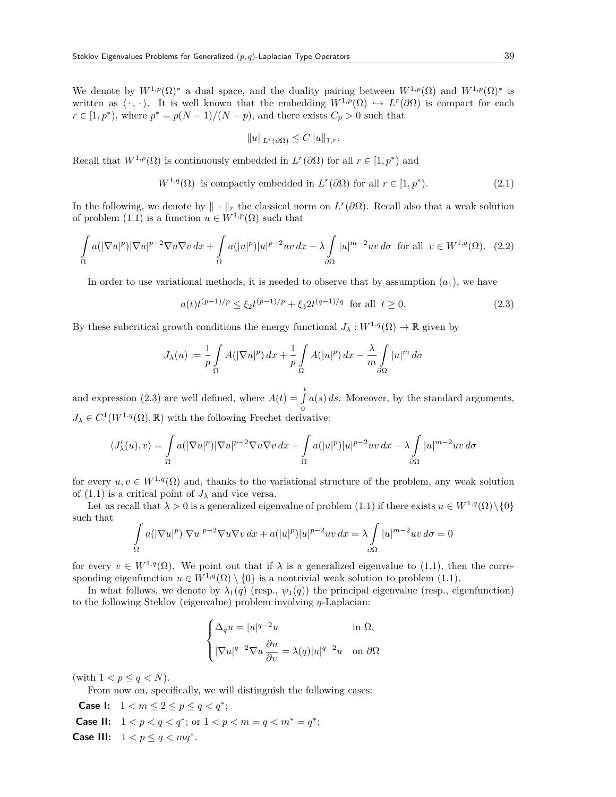We denote by  $W^{1,p}(\Omega)^*$  a dual space, and the duality pairing between  $W^{1,p}(\Omega)$  and  $W^{1,p}(\Omega)^*$  is written as  $\langle \cdot, \cdot \rangle$ . It is well known that the embedding  $W^{1,p}(\Omega) \hookrightarrow L^r(\partial \Omega)$  is compact for each  $r \in [1, p^*),$  where  $p^* = p(N-1)/(N-p)$ , and there exists  $C_p > 0$  such that

$$
||u||_{L^r(\partial\Omega)} \leq C||u||_{1,r}.
$$

Recall that  $W^{1,p}(\Omega)$  is continuously embedded in  $L^r(\partial\Omega)$  for all  $r \in [1,p^*)$  and

$$
W^{1,q}(\Omega) \text{ is compactly embedded in } L^r(\partial\Omega) \text{ for all } r \in [1, p^*). \tag{2.1}
$$

In the following, we denote by  $\|\cdot\|_r$  the classical norm on  $L^r(\partial\Omega)$ . Recall also that a weak solution of problem (1.1) is a function  $u \in W^{1,p}(\Omega)$  such that

$$
\int_{\Omega} a(|\nabla u|^p) |\nabla u|^{p-2} \nabla u \nabla v \, dx + \int_{\Omega} a(|u|^p) |u|^{p-2} uv \, dx - \lambda \int_{\partial \Omega} |u|^{m-2} uv \, d\sigma \text{ for all } v \in W^{1,q}(\Omega). \tag{2.2}
$$

In order to use variational methods, it is needed to observe that by assumption  $(a_1)$ , we have

$$
a(t)t^{(p-1)/p} \le \xi_2 t^{(p-1)/p} + \xi_3 2t^{(q-1)/q} \quad \text{for all} \ \ t \ge 0. \tag{2.3}
$$

By these subcritical growth conditions the energy functional  $J_\lambda : W^{1,q}(\Omega) \to \mathbb{R}$  given by

$$
J_{\lambda}(u) := \frac{1}{p} \int_{\Omega} A(|\nabla u|^p) dx + \frac{1}{p} \int_{\Omega} A(|u|^p) dx - \frac{\lambda}{m} \int_{\partial \Omega} |u|^m d\sigma
$$

and expression (2.3) are well defined, where  $A(t) = \int_0^t$ 0 *a*(*s*) *ds*. Moreover, by the standard arguments,  $J_{\lambda} \in C^1(W^{1,q}(\Omega), \mathbb{R})$  with the following Frechet derivative:

$$
\langle J'_{\lambda}(u),v\rangle = \int_{\Omega} a(|\nabla u|^p)|\nabla u|^{p-2}\nabla u \nabla v \,dx + \int_{\Omega} a(|u|^p)|u|^{p-2}uv \,dx - \lambda \int_{\partial\Omega} |u|^{m-2}uv \,d\sigma
$$

for every  $u, v \in W^{1,q}(\Omega)$  and, thanks to the variational structure of the problem, any weak solution of (1.1) is a critical point of  $J_{\lambda}$  and vice versa.

Let us recall that  $\lambda > 0$  is a generalized eigenvalue of problem (1.1) if there exists  $u \in W^{1,q}(\Omega) \setminus \{0\}$ such that

$$
\int_{\Omega} a(|\nabla u|^p)|\nabla u|^{p-2} \nabla u \nabla v \, dx + a(|u|^p)|u|^{p-2}uv \, dx = \lambda \int_{\partial \Omega} |u|^{m-2}uv \, d\sigma = 0
$$

for every  $v \in W^{1,q}(\Omega)$ . We point out that if  $\lambda$  is a generalized eigenvalue to (1.1), then the corresponding eigenfunction  $u \in W^{1,q}(\Omega) \setminus \{0\}$  is a nontrivial weak solution to problem (1.1).

In what follows, we denote by  $\lambda_1(q)$  (resp.,  $\psi_1(q)$ ) the principal eigenvalue (resp., eigenfunction) to the following Steklov (eigenvalue) problem involving *q*-Laplacian:

$$
\begin{cases} \Delta_q u = |u|^{q-2}u & \text{in }\Omega, \\[3mm] |\nabla u|^{q-2}\nabla u \, \frac{\partial u}{\partial v} = \lambda(q)|u|^{q-2}u & \text{on }\partial\Omega \end{cases}
$$

(with  $1 < p \leq q < N$ ).

From now on, specifically, we will distinguish the following cases:

**Case I:**  $1 < m \le 2 \le p \le q < q^*$ ; **Case II:**  $1 < p < q < q^*$ ; or  $1 < p < m = q < m^* = q^*$ ; **Case III:**  $1 < p \le q < mq^*$ .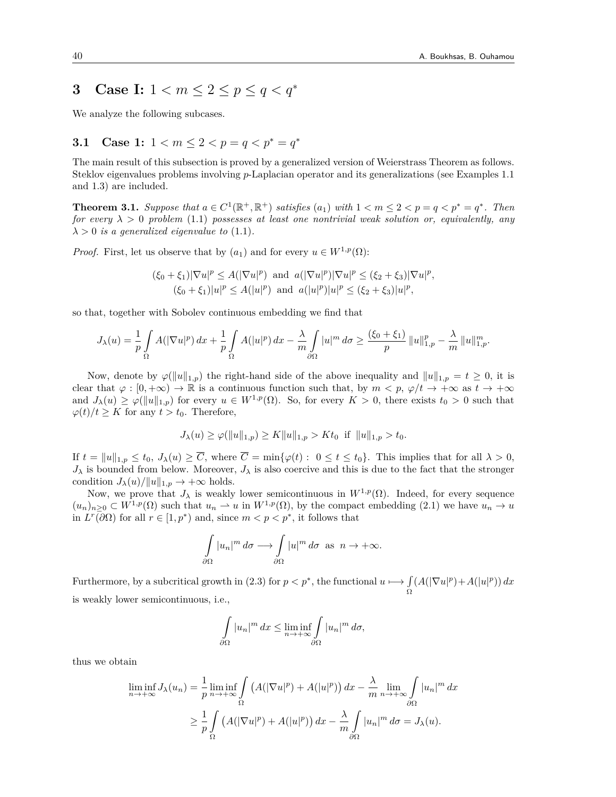# **3** Case I:  $1 < m \leq 2 \leq p \leq q < q^*$

We analyze the following subcases.

### **3.1** Case 1:  $1 < m \leq 2 < p = q < p^* = q^*$

The main result of this subsection is proved by a generalized version of Weierstrass Theorem as follows. Steklov eigenvalues problems involving *p*-Laplacian operator and its generalizations (see Examples 1.1 and 1.3) are included.

**Theorem 3.1.** Suppose that  $a \in C^1(\mathbb{R}^+, \mathbb{R}^+)$  satisfies  $(a_1)$  with  $1 < m \leq 2 < p = q < p^* = q^*$ . Then *for every*  $\lambda > 0$  *problem* (1.1) *possesses at least one nontrivial weak solution or, equivalently, any*  $\lambda > 0$  *is a generalized eigenvalue to* (1.1).

*Proof.* First, let us observe that by  $(a_1)$  and for every  $u \in W^{1,p}(\Omega)$ :

$$
(\xi_0 + \xi_1)|\nabla u|^p \le A(|\nabla u|^p) \text{ and } a(|\nabla u|^p)|\nabla u|^p \le (\xi_2 + \xi_3)|\nabla u|^p,
$$
  

$$
(\xi_0 + \xi_1)|u|^p \le A(|u|^p) \text{ and } a(|u|^p)|u|^p \le (\xi_2 + \xi_3)|u|^p,
$$

so that, together with Sobolev continuous embedding we find that

$$
J_\lambda(u)=\frac{1}{p}\int\limits_\Omega A(|\nabla u|^p)\,dx+\frac{1}{p}\int\limits_\Omega A(|u|^p)\,dx-\frac{\lambda}{m}\int\limits_{\partial\Omega}|u|^m\,d\sigma\geq \frac{(\xi_0+\xi_1)}{p}\,\|u\|_{1,p}^p-\frac{\lambda}{m}\,\|u\|_{1,p}^m.
$$

Now, denote by  $\varphi(\|u\|_{1,p})$  the right-hand side of the above inequality and  $\|u\|_{1,p} = t \geq 0$ , it is clear that  $\varphi : [0, +\infty) \to \mathbb{R}$  is a continuous function such that, by  $m < p$ ,  $\varphi/t \to +\infty$  as  $t \to +\infty$ and  $J_{\lambda}(u) \geq \varphi(||u||_{1,p})$  for every  $u \in W^{1,p}(\Omega)$ . So, for every  $K > 0$ , there exists  $t_0 > 0$  such that  $\varphi(t)/t \geq K$  for any  $t > t_0$ . Therefore,

$$
J_{\lambda}(u) \ge \varphi(\|u\|_{1,p}) \ge K\|u\|_{1,p} > Kt_0 \text{ if } \|u\|_{1,p} > t_0.
$$

If  $t = ||u||_{1,p} \le t_0$ ,  $J_\lambda(u) \ge \overline{C}$ , where  $\overline{C} = \min\{\varphi(t): 0 \le t \le t_0\}$ . This implies that for all  $\lambda > 0$ ,  $J_{\lambda}$  is bounded from below. Moreover,  $J_{\lambda}$  is also coercive and this is due to the fact that the stronger condition  $J_{\lambda}(u)/||u||_{1,p} \rightarrow +\infty$  holds.

Now, we prove that  $J_{\lambda}$  is weakly lower semicontinuous in  $W^{1,p}(\Omega)$ . Indeed, for every sequence  $(u_n)_{n>0} \subset W^{1,p}(\Omega)$  such that  $u_n \rightharpoonup u$  in  $W^{1,p}(\Omega)$ , by the compact embedding (2.1) we have  $u_n \to u$ in  $L^r(\partial\Omega)$  for all  $r \in [1, p^*)$  and, since  $m < p < p^*$ , it follows that

$$
\int_{\partial\Omega} |u_n|^m d\sigma \longrightarrow \int_{\partial\Omega} |u|^m d\sigma \text{ as } n \to +\infty.
$$

Furthermore, by a subcritical growth in (2.3) for  $p < p^*$ , the functional  $u \mapsto \int$ Ω  $(A(|\nabla u|^p)+A(|u|^p)) dx$ is weakly lower semicontinuous, i.e.,

$$
\int_{\partial\Omega} |u_n|^m dx \le \liminf_{n \to +\infty} \int_{\partial\Omega} |u_n|^m d\sigma,
$$

thus we obtain

$$
\liminf_{n \to +\infty} J_{\lambda}(u_n) = \frac{1}{p} \liminf_{n \to +\infty} \int_{\Omega} \left( A(|\nabla u|^p) + A(|u|^p) \right) dx - \frac{\lambda}{m} \lim_{n \to +\infty} \int_{\partial \Omega} |u_n|^m dx
$$

$$
\geq \frac{1}{p} \int_{\Omega} \left( A(|\nabla u|^p) + A(|u|^p) \right) dx - \frac{\lambda}{m} \int_{\partial \Omega} |u_n|^m d\sigma = J_{\lambda}(u).
$$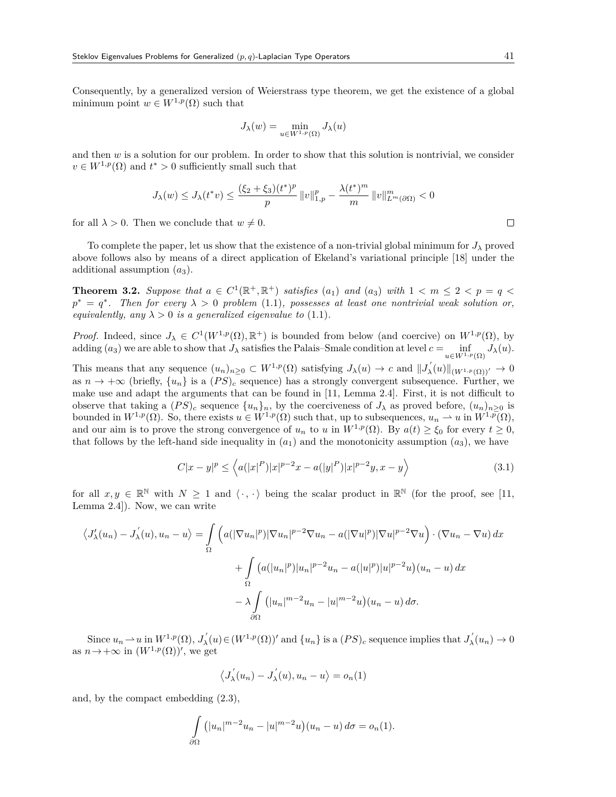Consequently, by a generalized version of Weierstrass type theorem, we get the existence of a global minimum point  $w \in W^{1,p}(\Omega)$  such that

$$
J_{\lambda}(w) = \min_{u \in W^{1,p}(\Omega)} J_{\lambda}(u)
$$

and then  $w$  is a solution for our problem. In order to show that this solution is nontrivial, we consider  $v \in W^{1,p}(\Omega)$  and  $t^* > 0$  sufficiently small such that

$$
J_{\lambda}(w) \leq J_{\lambda}(t^{*}v) \leq \frac{(\xi_{2} + \xi_{3})(t^{*})^{p}}{p} ||v||_{1,p}^{p} - \frac{\lambda(t^{*})^{m}}{m} ||v||_{L^{m}(\partial\Omega)}^{m} < 0
$$

for all  $\lambda > 0$ . Then we conclude that  $w \neq 0$ .

To complete the paper, let us show that the existence of a non-trivial global minimum for  $J_{\lambda}$  proved above follows also by means of a direct application of Ekeland's variational principle [18] under the additional assumption (*a*3).

**Theorem 3.2.** Suppose that  $a \in C^1(\mathbb{R}^+, \mathbb{R}^+)$  satisfies  $(a_1)$  and  $(a_3)$  with  $1 < m \leq 2 < p = q <$  $p^* = q^*$ . Then for every  $\lambda > 0$  problem (1.1), possesses at least one nontrivial weak solution or, *equivalently, any*  $\lambda > 0$  *is a generalized eigenvalue to* (1.1)*.* 

*Proof.* Indeed, since  $J_\lambda \in C^1(W^{1,p}(\Omega), \mathbb{R}^+)$  is bounded from below (and coercive) on  $W^{1,p}(\Omega)$ , by  $\alpha$ dding  $(a_3)$  we are able to show that  $J_\lambda$  satisfies the Palais–Smale condition at level  $c = \inf_{u \in W^{1,p}(\Omega)} J_\lambda(u)$ .

This means that any sequence  $(u_n)_{n\geq 0} \subset W^{1,p}(\Omega)$  satisfying  $J_\lambda(u) \to c$  and  $||J_\lambda'(u)||_{(W^{1,p}(\Omega))'} \to 0$ as  $n \to +\infty$  (briefly,  $\{u_n\}$ ) is a  $(PS)_c$  sequence) has a strongly convergent subsequence. Further, we make use and adapt the arguments that can be found in [11, Lemma 2.4]. First, it is not difficult to observe that taking a  $(PS)_c$  sequence  $\{u_n\}_n$ , by the coerciveness of  $J_\lambda$  as proved before,  $(u_n)_{n>0}$  is bounded in  $W^{1,p}(\Omega)$ . So, there exists  $u \in W^{1,p}(\Omega)$  such that, up to subsequences,  $u_n \rightharpoonup u$  in  $W^{1,p}(\Omega)$ , and our aim is to prove the strong convergence of  $u_n$  to  $u$  in  $W^{1,p}(\Omega)$ . By  $a(t) \geq \xi_0$  for every  $t \geq 0$ , that follows by the left-hand side inequality in  $(a_1)$  and the monotonicity assumption  $(a_3)$ , we have

$$
C|x - y|^p \le \left\langle a(|x|^P)|x|^{p-2}x - a(|y|^P)|x|^{p-2}y, x - y \right\rangle \tag{3.1}
$$

for all  $x, y \in \mathbb{R}^{\mathbb{N}}$  with  $N \geq 1$  and  $\langle \cdot, \cdot \rangle$  being the scalar product in  $\mathbb{R}^{\mathbb{N}}$  (for the proof, see [11, Lemma 2.4]). Now, we can write

$$
\langle J'_{\lambda}(u_n) - J'_{\lambda}(u), u_n - u \rangle = \int_{\Omega} \left( a(|\nabla u_n|^p)|\nabla u_n|^{p-2}\nabla u_n - a(|\nabla u|^p)|\nabla u|^{p-2}\nabla u \right) \cdot (\nabla u_n - \nabla u) dx
$$

$$
+ \int_{\Omega} \left( a(|u_n|^p)|u_n|^{p-2}u_n - a(|u|^p)|u|^{p-2}u \right) (u_n - u) dx
$$

$$
- \lambda \int_{\partial \Omega} (|u_n|^{m-2}u_n - |u|^{m-2}u)(u_n - u) d\sigma.
$$

Since  $u_n \to u$  in  $W^{1,p}(\Omega)$ ,  $J'_\lambda(u) \in (W^{1,p}(\Omega))'$  and  $\{u_n\}$  is a  $(PS)_c$  sequence implies that  $J'_\lambda(u_n) \to 0$ as  $n \to +\infty$  in  $(W^{1,p}(\Omega))'$ , we get

$$
\langle J_{\lambda}^{'}(u_{n}) - J_{\lambda}^{'}(u), u_{n} - u \rangle = o_{n}(1)
$$

and, by the compact embedding (2.3),

$$
\int_{\partial\Omega} \left( |u_n|^{m-2} u_n - |u|^{m-2} u \right) (u_n - u) d\sigma = o_n(1).
$$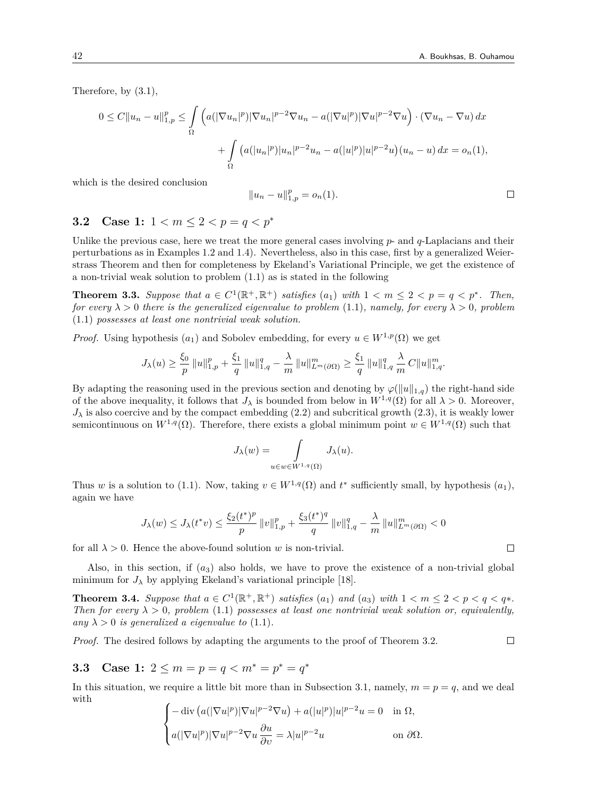Therefore, by (3.1),

$$
0 \le C \|u_n - u\|_{1,p}^p \le \int_{\Omega} \left( a(|\nabla u_n|^p) |\nabla u_n|^{p-2} \nabla u_n - a(|\nabla u|^p) |\nabla u|^{p-2} \nabla u \right) \cdot (\nabla u_n - \nabla u) \, dx
$$

$$
+ \int_{\Omega} \left( a(|u_n|^p) |u_n|^{p-2} u_n - a(|u|^p) |u|^{p-2} u \right) (u_n - u) \, dx = o_n(1),
$$

which is the desired conclusion

$$
||u_n - u||_{1,p}^p = o_n(1).
$$

## **3.2** Case 1:  $1 < m < 2 < p = q < p^*$

Unlike the previous case, here we treat the more general cases involving  $p$ - and  $q$ -Laplacians and their perturbations as in Examples 1.2 and 1.4). Nevertheless, also in this case, first by a generalized Weierstrass Theorem and then for completeness by Ekeland's Variational Principle, we get the existence of a non-trivial weak solution to problem (1.1) as is stated in the following

**Theorem 3.3.** Suppose that  $a \in C^1(\mathbb{R}^+, \mathbb{R}^+)$  satisfies  $(a_1)$  with  $1 < m \leq 2 < p = q < p^*$ . Then, *for every*  $\lambda > 0$  *there is the generalized eigenvalue to problem* (1.1)*, namely, for every*  $\lambda > 0$ *, problem* (1.1) *possesses at least one nontrivial weak solution.*

*Proof.* Using hypothesis  $(a_1)$  and Sobolev embedding, for every  $u \in W^{1,p}(\Omega)$  we get

$$
J_{\lambda}(u) \geq \frac{\xi_0}{p} ||u||_{1,p}^p + \frac{\xi_1}{q} ||u||_{1,q}^q - \frac{\lambda}{m} ||u||_{L^m(\partial\Omega)}^m \geq \frac{\xi_1}{q} ||u||_{1,q}^q \frac{\lambda}{m} C ||u||_{1,q}^m.
$$

By adapting the reasoning used in the previous section and denoting by  $\varphi(\|u\|_{1,q})$  the right-hand side of the above inequality, it follows that  $J_\lambda$  is bounded from below in  $W^{1,q}(\Omega)$  for all  $\lambda > 0$ . Moreover,  $J_{\lambda}$  is also coercive and by the compact embedding (2.2) and subcritical growth (2.3), it is weakly lower semicontinuous on  $W^{1,q}(\Omega)$ . Therefore, there exists a global minimum point  $w \in W^{1,q}(\Omega)$  such that

$$
J_{\lambda}(w) = \int\limits_{u \in w \in W^{1,q}(\Omega)} J_{\lambda}(u).
$$

Thus *w* is a solution to (1.1). Now, taking  $v \in W^{1,q}(\Omega)$  and  $t^*$  sufficiently small, by hypothesis  $(a_1)$ , again we have

$$
J_{\lambda}(w) \leq J_{\lambda}(t^*v) \leq \frac{\xi_2(t^*)^p}{p} \left\|v\right\|_{1,p}^p + \frac{\xi_3(t^*)^q}{q} \left\|v\right\|_{1,q}^q - \frac{\lambda}{m} \left\|u\right\|_{L^m(\partial\Omega)}^m < 0
$$

for all  $\lambda > 0$ . Hence the above-found solution *w* is non-trivial.

Also, in this section, if (*a*3) also holds, we have to prove the existence of a non-trivial global minimum for  $J_{\lambda}$  by applying Ekeland's variational principle [18].

**Theorem 3.4.** Suppose that  $a \in C^1(\mathbb{R}^+, \mathbb{R}^+)$  satisfies  $(a_1)$  and  $(a_3)$  with  $1 < m \leq 2 < p < q < q^*$ . *Then for every*  $\lambda > 0$ , problem (1.1) possesses at least one nontrivial weak solution or, equivalently, *any*  $\lambda > 0$  *is generalized a eigenvalue to* (1.1).

*Proof.* The desired follows by adapting the arguments to the proof of Theorem 3.2.

## **3.3** Case 1:  $2 \le m = p = q < m^* = p^* = q^*$

In this situation, we require a little bit more than in Subsection 3.1, namely,  $m = p = q$ , and we deal with

$$
\begin{cases}\n-\operatorname{div}\left(a(|\nabla u|^p)|\nabla u|^{p-2}\nabla u\right) + a(|u|^p)|u|^{p-2}u = 0 & \text{in } \Omega, \\
a(|\nabla u|^p)|\nabla u|^{p-2}\nabla u \frac{\partial u}{\partial v} = \lambda |u|^{p-2}u & \text{on } \partial \Omega.\n\end{cases}
$$

 $\Box$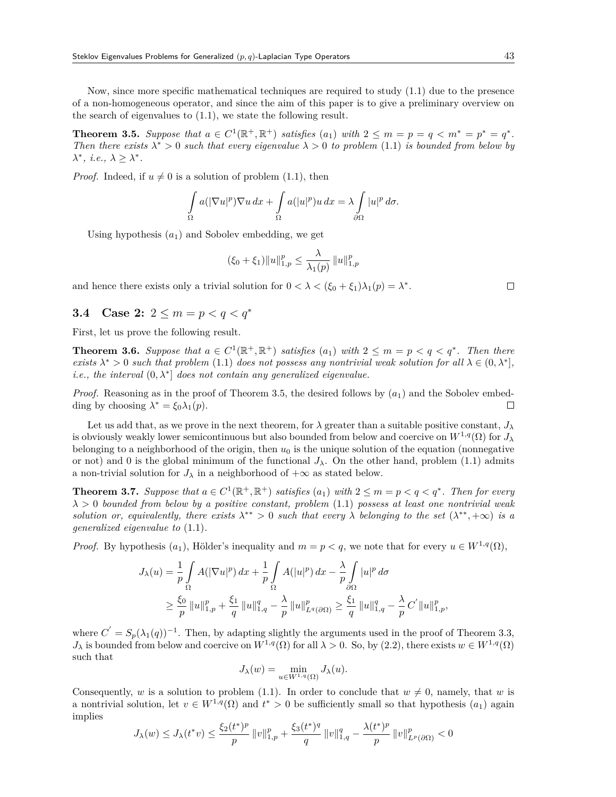Now, since more specific mathematical techniques are required to study (1.1) due to the presence of a non-homogeneous operator, and since the aim of this paper is to give a preliminary overview on the search of eigenvalues to (1.1), we state the following result.

**Theorem 3.5.** Suppose that  $a \in C^1(\mathbb{R}^+, \mathbb{R}^+)$  satisfies  $(a_1)$  with  $2 \le m = p = q < m^* = p^* = q^*$ . *Then there exists*  $\lambda^* > 0$  *such that every eigenvalue*  $\lambda > 0$  *to problem* (1.1) *is bounded from below by*  $\lambda^*$ *, i.e.,*  $\lambda \geq \lambda^*$ *.* 

*Proof.* Indeed, if  $u \neq 0$  is a solution of problem (1.1), then

$$
\int_{\Omega} a(|\nabla u|^p) \nabla u \, dx + \int_{\Omega} a(|u|^p) u \, dx = \lambda \int_{\partial \Omega} |u|^p \, d\sigma.
$$

Using hypothesis  $(a_1)$  and Sobolev embedding, we get

$$
(\xi_0 + \xi_1) \|u\|_{1,p}^p \le \frac{\lambda}{\lambda_1(p)} \|u\|_{1,p}^p
$$

and hence there exists only a trivial solution for  $0 < \lambda < (\xi_0 + \xi_1)\lambda_1(p) = \lambda^*$ .

## **3.4** Case 2:  $2 \le m = p < q < q^*$

First, let us prove the following result.

**Theorem 3.6.** Suppose that  $a \in C^1(\mathbb{R}^+, \mathbb{R}^+)$  satisfies  $(a_1)$  with  $2 \leq m = p < q < q^*$ . Then there *exists*  $\lambda^* > 0$  *such that problem* (1.1) *does not possess any nontrivial weak solution for all*  $\lambda \in (0, \lambda^*]$ *, i.e., the interval*  $(0, \lambda^*)$  *does not contain any generalized eigenvalue.* 

*Proof.* Reasoning as in the proof of Theorem 3.5, the desired follows by  $(a_1)$  and the Sobolev embedding by choosing  $\lambda^* = \xi_0 \lambda_1(p)$ .  $\Box$ 

Let us add that, as we prove in the next theorem, for  $\lambda$  greater than a suitable positive constant,  $J_{\lambda}$ is obviously weakly lower semicontinuous but also bounded from below and coercive on  $W^{1,q}(\Omega)$  for  $J_\lambda$ belonging to a neighborhood of the origin, then  $u_0$  is the unique solution of the equation (nonnegative or not) and 0 is the global minimum of the functional  $J_\lambda$ . On the other hand, problem (1.1) admits a non-trivial solution for  $J_\lambda$  in a neighborhood of  $+\infty$  as stated below.

**Theorem 3.7.** Suppose that  $a \in C^1(\mathbb{R}^+, \mathbb{R}^+)$  satisfies  $(a_1)$  with  $2 \le m = p < q < q^*$ . Then for every *λ >* 0 *bounded from below by a positive constant, problem* (1.1) *possess at least one nontrivial weak solution or, equivalently, there exists*  $\lambda^{**} > 0$  *such that every*  $\lambda$  *belonging to the set*  $(\lambda^{**}, +\infty)$  *is a generalized eigenvalue to* (1.1)*.*

*Proof.* By hypothesis  $(a_1)$ , Hölder's inequality and  $m = p < q$ , we note that for every  $u \in W^{1,q}(\Omega)$ ,

$$
J_{\lambda}(u) = \frac{1}{p} \int_{\Omega} A(|\nabla u|^p) dx + \frac{1}{p} \int_{\Omega} A(|u|^p) dx - \frac{\lambda}{p} \int_{\partial \Omega} |u|^p d\sigma
$$
  

$$
\geq \frac{\xi_0}{p} ||u||_{1,p}^p + \frac{\xi_1}{q} ||u||_{1,q}^q - \frac{\lambda}{p} ||u||_{L^q(\partial \Omega)}^p \geq \frac{\xi_1}{q} ||u||_{1,q}^q - \frac{\lambda}{p} C' ||u||_{1,p}^p,
$$

where  $C' = S_p(\lambda_1(q))^{-1}$ . Then, by adapting slightly the arguments used in the proof of Theorem 3.3,  $J_{\lambda}$  is bounded from below and coercive on  $W^{1,q}(\Omega)$  for all  $\lambda > 0$ . So, by (2.2), there exists  $w \in W^{1,q}(\Omega)$ such that

$$
J_{\lambda}(w) = \min_{u \in W^{1,q}(\Omega)} J_{\lambda}(u).
$$

Consequently, *w* is a solution to problem (1.1). In order to conclude that  $w \neq 0$ , namely, that *w* is a nontrivial solution, let  $v \in W^{1,q}(\Omega)$  and  $t^* > 0$  be sufficiently small so that hypothesis  $(a_1)$  again implies

$$
J_{\lambda}(w) \leq J_{\lambda}(t^*v) \leq \frac{\xi_2(t^*)^p}{p} ||v||_{1,p}^p + \frac{\xi_3(t^*)^q}{q} ||v||_{1,q}^q - \frac{\lambda(t^*)^p}{p} ||v||_{L^p(\partial\Omega)}^p < 0
$$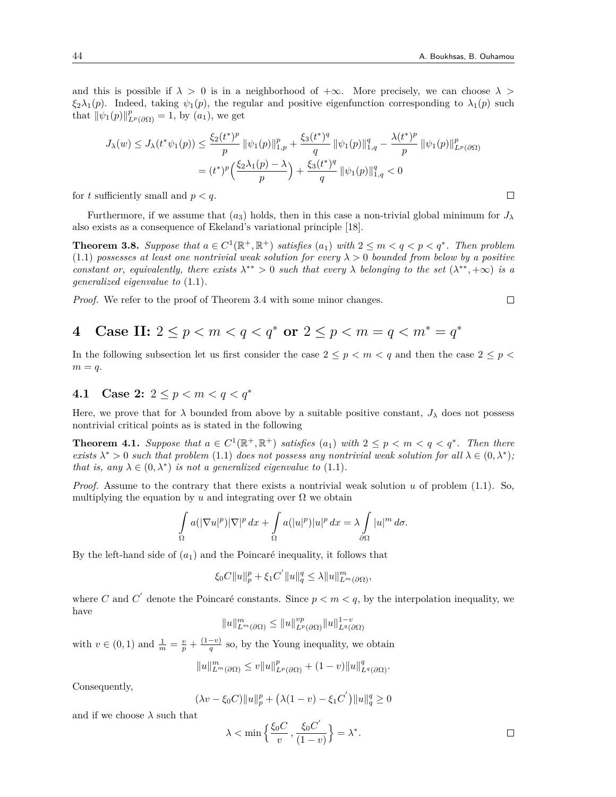and this is possible if  $\lambda > 0$  is in a neighborhood of  $+\infty$ . More precisely, we can choose  $\lambda >$ *ξ*<sub>2</sub>*λ*<sub>1</sub>(*p*). Indeed, taking  $\psi_1(p)$ , the regular and positive eigenfunction corresponding to  $\lambda_1(p)$  such that  $\|\psi_1(p)\|_{L^p(\partial\Omega)}^p = 1$ , by  $(a_1)$ , we get

$$
J_{\lambda}(w) \leq J_{\lambda}(t^{*}\psi_{1}(p)) \leq \frac{\xi_{2}(t^{*})^{p}}{p} \|\psi_{1}(p)\|_{1,p}^{p} + \frac{\xi_{3}(t^{*})^{q}}{q} \|\psi_{1}(p)\|_{1,q}^{q} - \frac{\lambda(t^{*})^{p}}{p} \|\psi_{1}(p)\|_{L^{p}(\partial\Omega)}^{p}
$$

$$
= (t^{*})^{p} \left(\frac{\xi_{2}\lambda_{1}(p)-\lambda}{p}\right) + \frac{\xi_{3}(t^{*})^{q}}{q} \|\psi_{1}(p)\|_{1,q}^{q} < 0
$$

for  $t$  sufficiently small and  $p < q$ .

Furthermore, if we assume that  $(a_3)$  holds, then in this case a non-trivial global minimum for  $J_\lambda$ also exists as a consequence of Ekeland's variational principle [18].

**Theorem 3.8.** Suppose that  $a \in C^1(\mathbb{R}^+, \mathbb{R}^+)$  satisfies  $(a_1)$  with  $2 \leq m < q < p < q^*$ . Then problem (1.1) *possesses at least one nontrivial weak solution for every λ >* 0 *bounded from below by a positive constant or, equivalently, there exists*  $\lambda^{**} > 0$  *such that every*  $\lambda$  *belonging to the set*  $(\lambda^{**}, +\infty)$  *is a generalized eigenvalue to* (1.1)*.*

*Proof.* We refer to the proof of Theorem 3.4 with some minor changes.

**4** Case II: 
$$
2 \le p < m < q < q^*
$$
 or  $2 \le p < m = q < m^* = q^*$ 

In the following subsection let us first consider the case  $2 \leq p \leq m \leq q$  and then the case  $2 \leq p \leq q$  $m = q$ .

### **4.1 Case 2:** 2 *≤ p < m < q < q<sup>∗</sup>*

Here, we prove that for  $\lambda$  bounded from above by a suitable positive constant,  $J_{\lambda}$  does not possess nontrivial critical points as is stated in the following

**Theorem 4.1.** Suppose that  $a \in C^1(\mathbb{R}^+, \mathbb{R}^+)$  satisfies  $(a_1)$  with  $2 \leq p \leq m \leq q \leq q^*$ . Then there *exists*  $\lambda^* > 0$  *such that problem* (1.1) *does not possess any nontrivial weak solution for all*  $\lambda \in (0, \lambda^*)$ ; *that is, any*  $\lambda \in (0, \lambda^*)$  *is not a generalized eigenvalue to* (1.1)*.* 

*Proof.* Assume to the contrary that there exists a nontrivial weak solution *u* of problem (1.1). So, multiplying the equation by  $u$  and integrating over  $\Omega$  we obtain

$$
\int_{\Omega} a(|\nabla u|^p)|\nabla|^p \, dx + \int_{\Omega} a(|u|^p)|u|^p \, dx = \lambda \int_{\partial \Omega} |u|^m \, d\sigma.
$$

By the left-hand side of  $(a_1)$  and the Poincaré inequality, it follows that

$$
\xi_0 C ||u||_p^p + \xi_1 C^{'} ||u||_q^q \le \lambda ||u||_{L^m(\partial\Omega)}^m,
$$

where *C* and *C*<sup> $\prime$ </sup> denote the Poincaré constants. Since  $p < m < q$ , by the interpolation inequality, we have

$$
||u||_{L^m(\partial\Omega)}^m \leq ||u||_{L^p(\partial\Omega)}^{vp} ||u||_{L^q(\partial\Omega)}^{1-v}
$$

with  $v \in (0, 1)$  and  $\frac{1}{m} = \frac{v}{p} + \frac{(1-v)}{q}$  so, by the Young inequality, we obtain

$$
||u||_{L^m(\partial\Omega)}^m \leq v||u||_{L^p(\partial\Omega)}^p + (1-v)||u||_{L^q(\partial\Omega)}^q.
$$

Consequently,

$$
(\lambda v - \xi_0 C) \|u\|_p^p + (\lambda (1 - v) - \xi_1 C') \|u\|_q^q \ge 0
$$

and if we choose  $\lambda$  such that

$$
\lambda < \min\left\{\frac{\xi_0 C}{v}, \frac{\xi_0 C'}{(1-v)}\right\} = \lambda^*.
$$

 $\Box$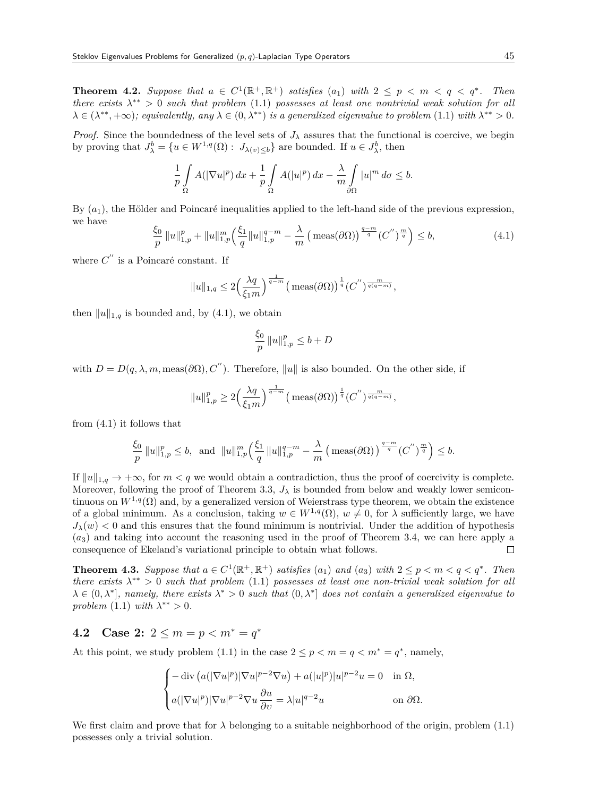**Theorem 4.2.** Suppose that  $a \in C^1(\mathbb{R}^+, \mathbb{R}^+)$  satisfies  $(a_1)$  with  $2 \leq p \leq m \leq q \leq q^*$ . Then *there exists λ ∗∗ >* 0 *such that problem* (1.1) *possesses at least one nontrivial weak solution for all*  $\lambda \in (\lambda^{**}, +\infty)$ ; equivalently, any  $\lambda \in (0, \lambda^{**})$  is a generalized eigenvalue to problem (1.1) with  $\lambda^{**} > 0$ .

*Proof.* Since the boundedness of the level sets of  $J_\lambda$  assures that the functional is coercive, we begin by proving that  $J^b_\lambda = \{u \in W^{1,q}(\Omega) : J_{\lambda(v)\leq b}\}$  are bounded. If  $u \in J^b_\lambda$ , then

$$
\frac{1}{p}\int\limits_{\Omega}A(|\nabla u|^p)\,dx+\frac{1}{p}\int\limits_{\Omega}A(|u|^p)\,dx-\frac{\lambda}{m}\int\limits_{\partial\Omega}|u|^m\,d\sigma\leq b.
$$

By (*a*1), the Hölder and Poincaré inequalities applied to the left-hand side of the previous expression, we have

$$
\frac{\xi_0}{p} \|u\|_{1,p}^p + \|u\|_{1,p}^m \left(\frac{\xi_1}{q} \|u\|_{1,p}^{q-m} - \frac{\lambda}{m} \left(\text{meas}(\partial \Omega)\right)^{\frac{q-m}{q}} (C'')^{\frac{m}{q}}\right) \le b,\tag{4.1}
$$

where *C ′′* is a Poincaré constant. If

$$
||u||_{1,q} \leq 2\Big(\frac{\lambda q}{\xi_1 m}\Big)^{\frac{1}{q-m}} \big(\max(\partial\Omega)\big)^{\frac{1}{q}}(C^{''})^{\frac{m}{q(q-m)}},
$$

then  $||u||_{1,q}$  is bounded and, by (4.1), we obtain

$$
\frac{\xi_0}{p} ||u||_{1,p}^p \le b + D
$$

with  $D = D(q, \lambda, m, \text{meas}(\partial \Omega), C'')$ . Therefore,  $||u||$  is also bounded. On the other side, if

$$
||u||_{1,p}^p \ge 2\left(\frac{\lambda q}{\xi_1 m}\right)^{\frac{1}{q-m}} \left(\text{meas}(\partial \Omega)\right)^{\frac{1}{q}} (C'')^{\frac{m}{q(q-m)}},
$$

from (4.1) it follows that

$$
\frac{\xi_0}{p} ||u||_{1,p}^p \le b, \text{ and } ||u||_{1,p}^m \left(\frac{\xi_1}{q} ||u||_{1,p}^{q-m} - \frac{\lambda}{m} \left(\text{meas}(\partial \Omega)\right)^{\frac{q-m}{q}} (C^{''})^{\frac{m}{q}}\right) \le b.
$$

If  $||u||_{1,q} \to +\infty$ , for  $m < q$  we would obtain a contradiction, thus the proof of coercivity is complete. Moreover, following the proof of Theorem 3.3,  $J_{\lambda}$  is bounded from below and weakly lower semicontinuous on  $W^{1,q}(\Omega)$  and, by a generalized version of Weierstrass type theorem, we obtain the existence of a global minimum. As a conclusion, taking  $w \in W^{1,q}(\Omega)$ ,  $w \neq 0$ , for  $\lambda$  sufficiently large, we have  $J_{\lambda}(w)$  < 0 and this ensures that the found minimum is nontrivial. Under the addition of hypothesis (*a*3) and taking into account the reasoning used in the proof of Theorem 3.4, we can here apply a consequence of Ekeland's variational principle to obtain what follows.  $\Box$ 

**Theorem 4.3.** Suppose that  $a \in C^1(\mathbb{R}^+, \mathbb{R}^+)$  satisfies  $(a_1)$  and  $(a_3)$  with  $2 \leq p < m < q < q^*$ . Then *there exists*  $\lambda^{**} > 0$  *such that problem* (1.1) *possesses at least one non-trivial weak solution for all*  $\lambda \in (0, \lambda^*]$ , namely, there exists  $\lambda^* > 0$  such that  $(0, \lambda^*]$  does not contain a generalized eigenvalue to *problem*  $(1.1)$  *with*  $\lambda^{**} > 0$ *.* 

### **4.2** Case 2:  $2 \le m = p < m^* = q^*$

At this point, we study problem (1.1) in the case  $2 \le p < m = q < m^* = q^*$ , namely,

$$
\begin{cases}\n-\operatorname{div}\left(a(|\nabla u|^p)|\nabla u|^{p-2}\nabla u\right) + a(|u|^p)|u|^{p-2}u = 0 & \text{in } \Omega, \\
a(|\nabla u|^p)|\nabla u|^{p-2}\nabla u \frac{\partial u}{\partial v} = \lambda |u|^{q-2}u & \text{on } \partial \Omega.\n\end{cases}
$$

We first claim and prove that for  $\lambda$  belonging to a suitable neighborhood of the origin, problem (1.1) possesses only a trivial solution.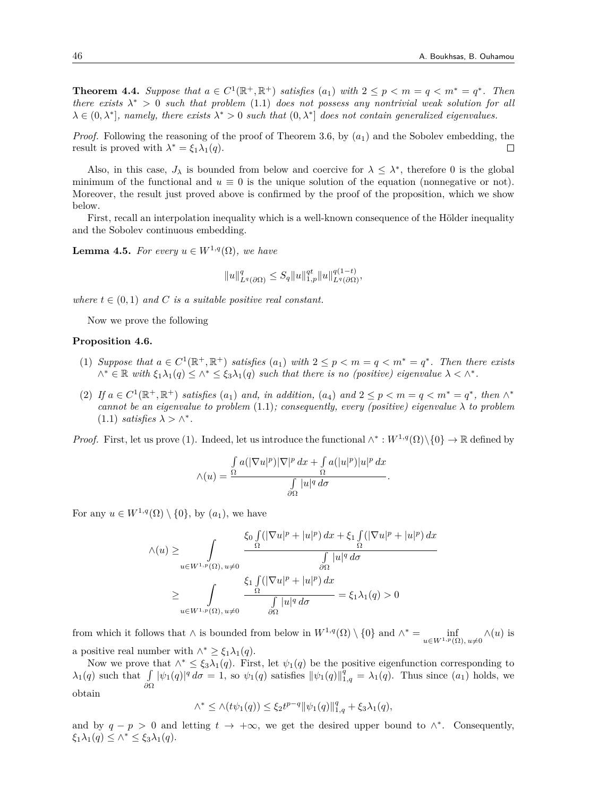**Theorem 4.4.** Suppose that  $a \in C^1(\mathbb{R}^+, \mathbb{R}^+)$  satisfies  $(a_1)$  with  $2 \leq p \leq m = q \leq m^* = q^*$ . Then *there exists*  $\lambda^* > 0$  *such that problem* (1.1) *does not possess any nontrivial weak solution for all*  $\lambda \in (0, \lambda^*]$ , namely, there exists  $\lambda^* > 0$  such that  $(0, \lambda^*]$  does not contain generalized eigenvalues.

*Proof.* Following the reasoning of the proof of Theorem 3.6, by  $(a_1)$  and the Sobolev embedding, the result is proved with  $\lambda^* = \xi_1 \lambda_1(q)$ .  $\Box$ 

Also, in this case,  $J_{\lambda}$  is bounded from below and coercive for  $\lambda \leq \lambda^*$ , therefore 0 is the global minimum of the functional and  $u \equiv 0$  is the unique solution of the equation (nonnegative or not). Moreover, the result just proved above is confirmed by the proof of the proposition, which we show below.

First, recall an interpolation inequality which is a well-known consequence of the Hölder inequality and the Sobolev continuous embedding.

**Lemma 4.5.** *For every*  $u \in W^{1,q}(\Omega)$ *, we have* 

$$
||u||_{L^q(\partial\Omega)}^q \le S_q ||u||_{1,p}^{qt} ||u||_{L^q(\partial\Omega)}^{q(1-t)},
$$

*where*  $t \in (0,1)$  *and C is a suitable positive real constant.* 

Now we prove the following

#### **Proposition 4.6.**

- (1) Suppose that  $a \in C^1(\mathbb{R}^+, \mathbb{R}^+)$  satisfies  $(a_1)$  with  $2 \leq p < m = q < m^* = q^*$ . Then there exists  $\wedge^* \in \mathbb{R}$  with  $\xi_1 \lambda_1(q) \leq \wedge^* \leq \xi_3 \lambda_1(q)$  such that there is no (positive) eigenvalue  $\lambda < \wedge^*$ .
- (2) If  $a \in C^1(\mathbb{R}^+, \mathbb{R}^+)$  satisfies  $(a_1)$  and, in addition,  $(a_4)$  and  $2 \leq p < m = q < m^* = q^*$ , then  $\wedge^*$ *cannot be an eigenvalue to problem*  $(1.1)$ *; consequently, every (positive) eigenvalue*  $\lambda$  *to problem*  $(1.1)$  *satisfies*  $\lambda > \wedge^*$ .

*Proof.* First, let us prove (1). Indeed, let us introduce the functional  $\wedge^*: W^{1,q}(\Omega)\setminus\{0\} \to \mathbb{R}$  defined by

$$
\wedge(u) = \frac{\int_{\Omega} a(|\nabla u|^p)|\nabla|^p \, dx + \int_{\Omega} a(|u|^p)|u|^p \, dx}{\int_{\partial\Omega} |u|^q \, d\sigma}.
$$

For any  $u \in W^{1,q}(\Omega) \setminus \{0\}$ , by  $(a_1)$ , we have

$$
\wedge (u) \geq \int_{u \in W^{1,p}(\Omega), u \neq 0} \frac{\xi_0 \int_{\Omega} (|\nabla u|^p + |u|^p) dx + \xi_1 \int_{\Omega} (|\nabla u|^p + |u|^p) dx}{\int_{\partial \Omega} |u|^q d\sigma}
$$

$$
\geq \int_{u \in W^{1,p}(\Omega), u \neq 0} \frac{\xi_1 \int_{\Omega} (|\nabla u|^p + |u|^p) dx}{\int_{\partial \Omega} |u|^q d\sigma} = \xi_1 \lambda_1(q) > 0
$$

from which it follows that  $\wedge$  is bounded from below in  $W^{1,q}(\Omega) \setminus \{0\}$  and  $\wedge^* = \emptyset$  inf *u∈W*1*,p*(Ω)*, u̸*=0 *∧*(*u*) is a positive real number with  $\wedge^* \geq \xi_1 \lambda_1(q)$ .

Now we prove that  $\wedge^* \leq \xi_3 \lambda_1(q)$ . First, let  $\psi_1(q)$  be the positive eigenfunction corresponding to  $\lambda_1(q)$  such that  $\int |\psi_1(q)|^q d\sigma = 1$ , so  $\psi_1(q)$  satisfies  $\|\psi_1(q)\|_{1,q}^q = \lambda_1(q)$ . Thus since  $(a_1)$  holds, we *∂*Ω obtain

$$
\wedge^* \le \wedge (t\psi_1(q)) \le \xi_2 t^{p-q} \|\psi_1(q)\|_{1,q}^q + \xi_3 \lambda_1(q),
$$

and by  $q - p > 0$  and letting  $t \to +\infty$ , we get the desired upper bound to  $\wedge^*$ . Consequently, *ξ*1*λ*1(*q*) *≤ ∧<sup>∗</sup> ≤ ξ*3*λ*1(*q*).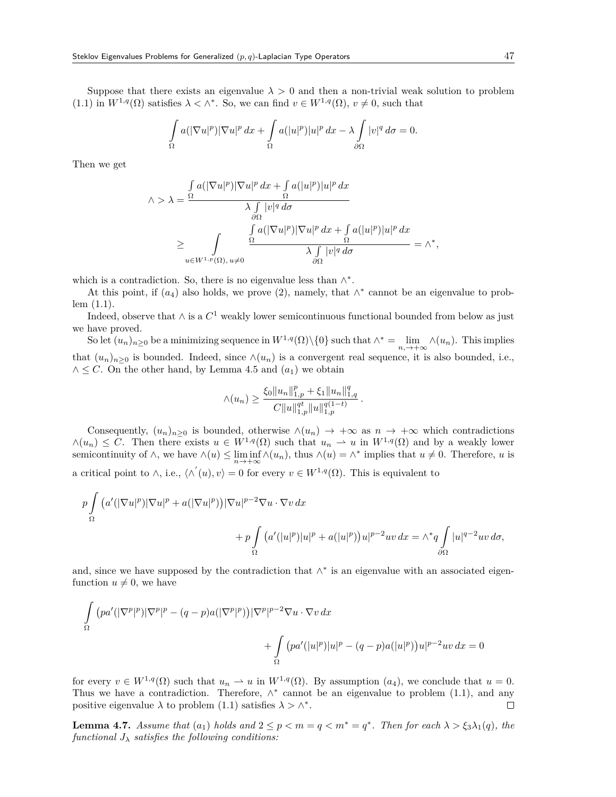Suppose that there exists an eigenvalue  $\lambda > 0$  and then a non-trivial weak solution to problem  $(1.1)$  in  $W^{1,q}(\Omega)$  satisfies  $\lambda < \wedge^*$ . So, we can find  $v \in W^{1,q}(\Omega)$ ,  $v \neq 0$ , such that

$$
\int_{\Omega} a(|\nabla u|^p)|\nabla u|^p \, dx + \int_{\Omega} a(|u|^p)|u|^p \, dx - \lambda \int_{\partial \Omega} |v|^q \, d\sigma = 0.
$$

Then we get

$$
\begin{split} \wedge &> \lambda = \frac{\int\limits_{\Omega} a(|\nabla u|^p)|\nabla u|^p \, dx + \int\limits_{\Omega} a(|u|^p)|u|^p \, dx}{\lambda \int\limits_{\partial\Omega} |v|^q \, d\sigma} \\ &\geq \int\limits_{u \in W^{1,p}(\Omega), \, u \neq 0} \frac{\int\limits_{\Omega} a(|\nabla u|^p)|\nabla u|^p \, dx + \int\limits_{\Omega} a(|u|^p)|u|^p \, dx}{\lambda \int\limits_{\partial\Omega} |v|^q \, d\sigma} = \wedge^*, \end{split}
$$

which is a contradiction. So, there is no eigenvalue less than *∧ ∗* .

At this point, if  $(a_4)$  also holds, we prove  $(2)$ , namely, that  $\wedge^*$  cannot be an eigenvalue to problem (1.1).

Indeed, observe that  $\wedge$  is a  $C^1$  weakly lower semicontinuous functional bounded from below as just we have proved.

So let  $(u_n)_{n\geq 0}$  be a minimizing sequence in  $W^{1,q}(\Omega)\setminus\{0\}$  such that  $\wedge^* = \lim_{n,\to+\infty} \wedge (u_n)$ . This implies that  $(u_n)_{n>0}$  is bounded. Indeed, since  $\wedge(u_n)$  is a convergent real sequence, it is also bounded, i.e., *∧ ≤ C*. On the other hand, by Lemma 4.5 and (*a*1) we obtain

$$
\wedge (u_n) \geq \frac{\xi_0 \|u_n\|_{1,p}^p + \xi_1 \|u_n\|_{1,q}^q}{C \|u\|_{1,p}^{qt} \|u\|_{1,p}^{q(1-t)}}.
$$

Consequently,  $(u_n)_{n\geq 0}$  is bounded, otherwise  $\wedge(u_n) \to +\infty$  as  $n \to +\infty$  which contradictions  $∧(u_n) ≤ C$ . Then there exists  $u ∈ W^{1,q}(\Omega)$  such that  $u_n → u$  in  $W^{1,q}(\Omega)$  and by a weakly lower semicontinuity of  $\wedge$ , we have  $\wedge(u) \leq \liminf_{n \to +\infty} \wedge(u_n)$ , thus  $\wedge(u) = \wedge^*$  implies that  $u \neq 0$ . Therefore, u is a critical point to  $\wedge$ , i.e.,  $\langle \wedge'(u), v \rangle = 0$  for every  $v \in W^{1,q}(\Omega)$ . This is equivalent to

$$
p\int_{\Omega} \left( a'(|\nabla u|^p)|\nabla u|^p + a(|\nabla u|^p) \right) |\nabla u|^{p-2} \nabla u \cdot \nabla v \, dx
$$
  
+ 
$$
p\int_{\Omega} \left( a'(|u|^p)|u|^p + a(|u|^p) \right) u|^{p-2}uv \, dx = \wedge^* q \int_{\partial\Omega} |u|^{q-2}uv \, d\sigma,
$$

and, since we have supposed by the contradiction that *∧ ∗* is an eigenvalue with an associated eigenfunction  $u \neq 0$ , we have

$$
\int_{\Omega} (pa'(|\nabla^p|^p)|\nabla^p|^p - (q-p)a(|\nabla^p|^p))|\nabla^p|^{p-2}\nabla u \cdot \nabla v \, dx\n+ \int_{\Omega} (pa'(|u|^p)|u|^p - (q-p)a(|u|^p))u|^{p-2}uv \, dx = 0
$$

for every  $v \in W^{1,q}(\Omega)$  such that  $u_n \rightharpoonup u$  in  $W^{1,q}(\Omega)$ . By assumption  $(a_4)$ , we conclude that  $u = 0$ . Thus we have a contradiction. Therefore,  $\wedge^*$  cannot be an eigenvalue to problem (1.1), and any positive eigenvalue  $\lambda$  to problem (1.1) satisfies  $\lambda > \wedge^*$ .  $\Box$ 

**Lemma 4.7.** *Assume that*  $(a_1)$  *holds and*  $2 \leq p < m = q < m^* = q^*$ . *Then for each*  $\lambda > \xi_3 \lambda_1(q)$ *, the functional*  $J_{\lambda}$  *satisfies the following conditions:*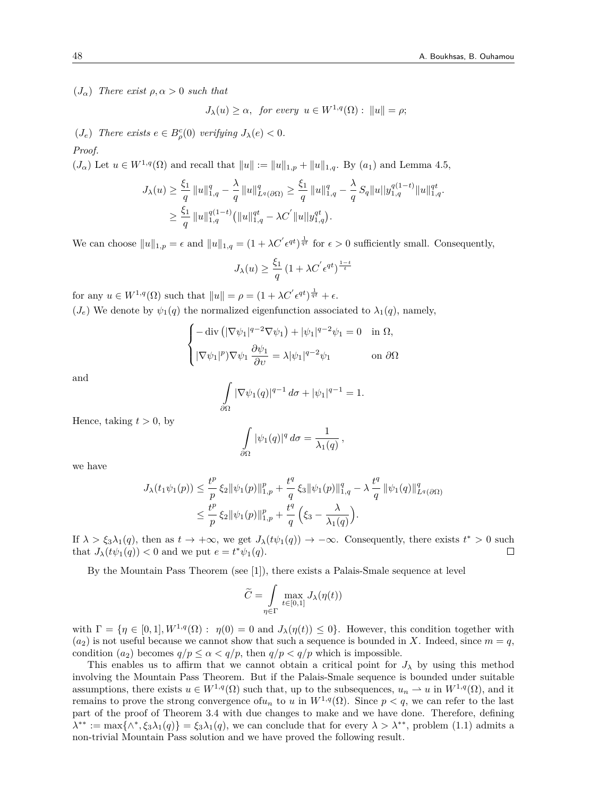(*Jα*) *There exist ρ, α >* 0 *such that*

$$
J_{\lambda}(u) \geq \alpha, \text{ for every } u \in W^{1,q}(\Omega): \|u\| = \rho;
$$

 $(J_e)$  *There exists*  $e \in B^c_{\rho}(0)$  *verifying*  $J_{\lambda}(e) < 0$ *.* 

#### *Proof.*

 $(J_{\alpha})$  Let  $u \in W^{1,q}(\Omega)$  and recall that  $||u|| := ||u||_{1,p} + ||u||_{1,q}$ . By  $(a_1)$  and Lemma 4.5,

$$
J_{\lambda}(u) \geq \frac{\xi_{1}}{q} \|u\|_{1,q}^{q} - \frac{\lambda}{q} \|u\|_{L^{q}(\partial\Omega)}^{q} \geq \frac{\xi_{1}}{q} \|u\|_{1,q}^{q} - \frac{\lambda}{q} S_{q} \|u\|_{1,q}^{q(1-t)} \|u\|_{1,q}^{qt}.
$$
  

$$
\geq \frac{\xi_{1}}{q} \|u\|_{1,q}^{q(1-t)} (\|u\|_{1,q}^{qt} - \lambda C^{'} \|u\|_{1,q}^{qt}).
$$

We can choose  $||u||_{1,p} = \epsilon$  and  $||u||_{1,q} = (1 + \lambda C' \epsilon^{qt})^{\frac{1}{qt}}$  for  $\epsilon > 0$  sufficiently small. Consequently,

$$
J_{\lambda}(u) \ge \frac{\xi_1}{q} \left(1 + \lambda C^{'} \epsilon^{qt}\right)^{\frac{1-t}{t}}
$$

for any  $u \in W^{1,q}(\Omega)$  such that  $||u|| = \rho = (1 + \lambda C' \epsilon^{qt})^{\frac{1}{qt}} + \epsilon$ .  $(J_e)$  We denote by  $\psi_1(q)$  the normalized eigenfunction associated to  $\lambda_1(q)$ , namely,

$$
\begin{cases}\n-\operatorname{div}\left(|\nabla\psi_1|^{q-2}\nabla\psi_1\right) + |\psi_1|^{q-2}\psi_1 = 0 & \text{in } \Omega, \\
|\nabla\psi_1|^p \nabla\psi_1 \frac{\partial \psi_1}{\partial v} = \lambda |\psi_1|^{q-2}\psi_1 & \text{on } \partial\Omega\n\end{cases}
$$

and

$$
\int_{\partial\Omega} |\nabla \psi_1(q)|^{q-1} d\sigma + |\psi_1|^{q-1} = 1.
$$

Hence, taking  $t > 0$ , by

$$
\int_{\partial\Omega} |\psi_1(q)|^q d\sigma = \frac{1}{\lambda_1(q)},
$$

we have

$$
J_{\lambda}(t_{1}\psi_{1}(p)) \leq \frac{t^{p}}{p} \xi_{2} \|\psi_{1}(p)\|_{1,p}^{p} + \frac{t^{q}}{q} \xi_{3} \|\psi_{1}(p)\|_{1,q}^{q} - \lambda \frac{t^{q}}{q} \|\psi_{1}(q)\|_{L^{q}(\partial \Omega)}^{q}
$$
  

$$
\leq \frac{t^{p}}{p} \xi_{2} \|\psi_{1}(p)\|_{1,p}^{p} + \frac{t^{q}}{q} \left(\xi_{3} - \frac{\lambda}{\lambda_{1}(q)}\right).
$$

If  $\lambda > \xi_3 \lambda_1(q)$ , then as  $t \to +\infty$ , we get  $J_\lambda(t\psi_1(q)) \to -\infty$ . Consequently, there exists  $t^* > 0$  such that  $J_{\lambda}(t\psi_1(q)) < 0$  and we put  $e = t^*\psi_1(q)$ . □

By the Mountain Pass Theorem (see [1]), there exists a Palais-Smale sequence at level

$$
\widetilde{C} = \int\limits_{\eta \in \Gamma} \max\limits_{t \in [0,1]} J_{\lambda}(\eta(t))
$$

with  $\Gamma = \{ \eta \in [0,1], W^{1,q}(\Omega) : \eta(0) = 0 \text{ and } J_\lambda(\eta(t)) \leq 0 \}.$  However, this condition together with  $(a_2)$  is not useful because we cannot show that such a sequence is bounded in *X*. Indeed, since  $m = q$ , condition  $(a_2)$  becomes  $q/p \leq \alpha < q/p$ , then  $q/p < q/p$  which is impossible.

This enables us to affirm that we cannot obtain a critical point for  $J_\lambda$  by using this method involving the Mountain Pass Theorem. But if the Palais-Smale sequence is bounded under suitable assumptions, there exists  $u \in W^{1,q}(\Omega)$  such that, up to the subsequences,  $u_n \rightharpoonup u$  in  $W^{1,q}(\Omega)$ , and it remains to prove the strong convergence of  $u_n$  to  $u$  in  $W^{1,q}(\Omega)$ . Since  $p < q$ , we can refer to the last part of the proof of Theorem 3.4 with due changes to make and we have done. Therefore, defining  $\lambda^{**} := \max\{\wedge^*, \xi_3\lambda_1(q)\} = \xi_3\lambda_1(q)$ , we can conclude that for every  $\lambda > \lambda^{**}$ , problem (1.1) admits a non-trivial Mountain Pass solution and we have proved the following result.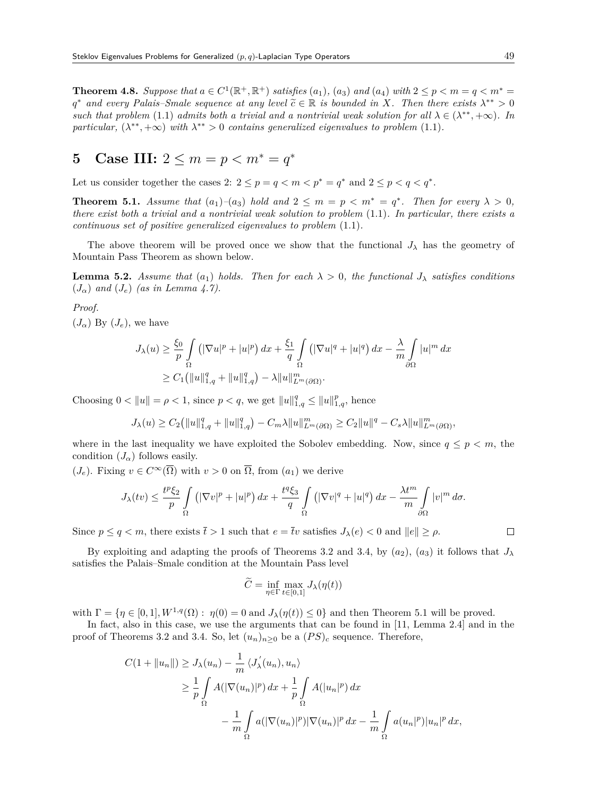**Theorem 4.8.** Suppose that  $a \in C^1(\mathbb{R}^+, \mathbb{R}^+)$  satisfies  $(a_1)$ ,  $(a_3)$  and  $(a_4)$  with  $2 \leq p < m = q < m^* =$  $q^*$  *and every Palais–Smale sequence at any level*  $\tilde{c} \in \mathbb{R}$  *is bounded in X. Then there exists*  $\lambda^{**} > 0$ *such that problem* (1.1) *admits both a trivial and a nontrivial weak solution for all*  $\lambda \in (\lambda^{**}, +\infty)$ *. In particular,*  $(\lambda^{**}, +\infty)$  *with*  $\lambda^{**} > 0$  *contains generalized eigenvalues to problem* (1.1)*.* 

# **5** Case III:  $2 \le m = p < m^* = q^*$

Let us consider together the cases 2:  $2 \leq p = q < m < p^* = q^*$  and  $2 \leq p < q < q^*$ .

**Theorem 5.1.** *Assume that*  $(a_1)$ – $(a_3)$  *hold and*  $2 \le m = p \lt m^* = q^*$ . *Then for every*  $\lambda > 0$ *, there exist both a trivial and a nontrivial weak solution to problem* (1.1)*. In particular, there exists a continuous set of positive generalized eigenvalues to problem* (1.1)*.*

The above theorem will be proved once we show that the functional  $J_{\lambda}$  has the geometry of Mountain Pass Theorem as shown below.

**Lemma 5.2.** *Assume that*  $(a_1)$  *holds. Then for each*  $\lambda > 0$ , *the functional*  $J_{\lambda}$  *satisfies conditions*  $(J_{\alpha})$  *and*  $(J_{e})$  *(as in Lemma 4.7).* 

#### *Proof.*

 $(J_{\alpha})$  By  $(J_e)$ , we have

$$
J_{\lambda}(u) \geq \frac{\xi_0}{p} \int_{\Omega} \left( |\nabla u|^p + |u|^p \right) dx + \frac{\xi_1}{q} \int_{\Omega} \left( |\nabla u|^q + |u|^q \right) dx - \frac{\lambda}{m} \int_{\partial \Omega} |u|^m dx
$$
  

$$
\geq C_1 \left( \|u\|_{1,q}^q + \|u\|_{1,q}^q \right) - \lambda \|u\|_{L^m(\partial \Omega)}^m.
$$

Choosing  $0 < ||u|| = \rho < 1$ , since  $p < q$ , we get  $||u||_{1,q}^q \le ||u||_{1,q}^p$ , hence

$$
J_{\lambda}(u) \geq C_2 (||u||_{1,q}^q + ||u||_{1,q}^q) - C_m \lambda ||u||_{L^m(\partial \Omega)}^m \geq C_2 ||u||^q - C_s \lambda ||u||_{L^m(\partial \Omega)}^m,
$$

where in the last inequality we have exploited the Sobolev embedding. Now, since  $q \leq p \leq m$ , the condition  $(J_{\alpha})$  follows easily.

 $(J_e)$ . Fixing  $v \in C^\infty(\overline{\Omega})$  with  $v > 0$  on  $\overline{\Omega}$ , from  $(a_1)$  we derive

$$
J_{\lambda}(tv) \leq \frac{t^p \xi_2}{p} \int\limits_{\Omega} \left( |\nabla v|^p + |u|^p \right) dx + \frac{t^q \xi_3}{q} \int\limits_{\Omega} \left( |\nabla v|^q + |u|^q \right) dx - \frac{\lambda t^m}{m} \int\limits_{\partial \Omega} |v|^m d\sigma.
$$

Since  $p \le q < m$ , there exists  $\bar{t} > 1$  such that  $e = \bar{t}v$  satisfies  $J_{\lambda}(e) < 0$  and  $||e|| \ge \rho$ .

By exploiting and adapting the proofs of Theorems 3.2 and 3.4, by  $(a_2)$ ,  $(a_3)$  it follows that  $J_\lambda$ satisfies the Palais–Smale condition at the Mountain Pass level

$$
\widetilde{C} = \inf_{\eta \in \Gamma} \max_{t \in [0,1]} J_{\lambda}(\eta(t))
$$

with  $\Gamma = \{ \eta \in [0,1], W^{1,q}(\Omega) : \eta(0) = 0 \text{ and } J_\lambda(\eta(t)) \leq 0 \}$  and then Theorem 5.1 will be proved.

In fact, also in this case, we use the arguments that can be found in [11, Lemma 2.4] and in the proof of Theorems 3.2 and 3.4. So, let  $(u_n)_{n>0}$  be a  $(PS)_c$  sequence. Therefore,

$$
C(1 + ||u_n||) \ge J_{\lambda}(u_n) - \frac{1}{m} \langle J_{\lambda}'(u_n), u_n \rangle
$$
  
\n
$$
\ge \frac{1}{p} \int_{\Omega} A(|\nabla(u_n)|^p) dx + \frac{1}{p} \int_{\Omega} A(|u_n|^p) dx
$$
  
\n
$$
- \frac{1}{m} \int_{\Omega} a(|\nabla(u_n)|^p) |\nabla(u_n)|^p dx - \frac{1}{m} \int_{\Omega} a(u_n|^p) |u_n|^p dx,
$$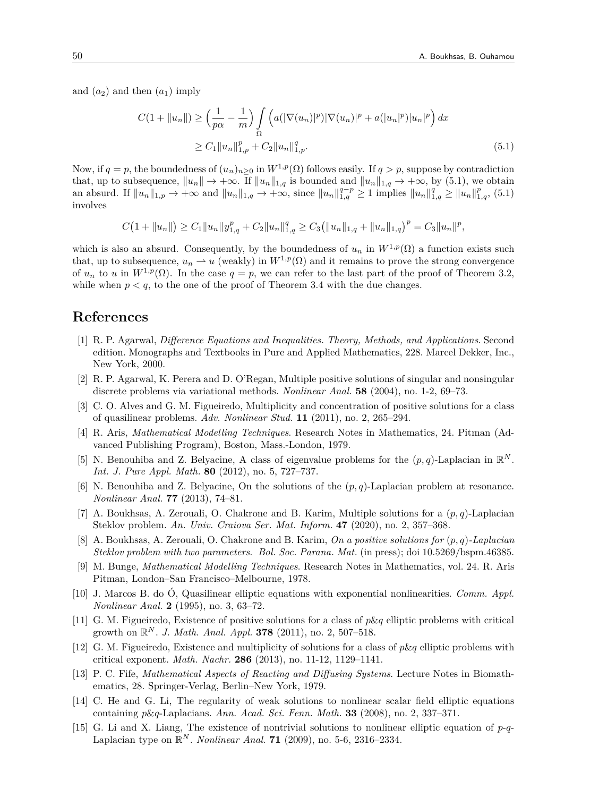and  $(a_2)$  and then  $(a_1)$  imply

$$
C(1 + ||u_n||) \ge \left(\frac{1}{p\alpha} - \frac{1}{m}\right) \int_{\Omega} \left(a(|\nabla(u_n)|^p)|\nabla(u_n)|^p + a(|u_n|^p)|u_n|^p\right) dx
$$
  
 
$$
\ge C_1 ||u_n||_{1,p}^p + C_2 ||u_n||_{1,p}^q. \tag{5.1}
$$

Now, if  $q = p$ , the boundedness of  $(u_n)_{n>0}$  in  $W^{1,p}(\Omega)$  follows easily. If  $q > p$ , suppose by contradiction that, up to subsequence,  $||u_n|| \to +\infty$ . If  $||u_n||_{1,q}$  is bounded and  $||u_n||_{1,q} \to +\infty$ , by (5.1), we obtain an absurd. If  $||u_n||_{1,p} \to +\infty$  and  $||u_n||_{1,q} \to +\infty$ , since  $||u_n||_{1,q}^{q-p} \ge 1$  implies  $||u_n||_{1,q}^q \ge ||u_n||_{1,q}^p$ , (5.1) involves

$$
C\big(1+\|u_n\|\big) \geq C_1 \|u_n\|_{H^1,q} + C_2 \|u_n\|_{1,q}^q \geq C_3 \big( \|u_n\|_{1,q} + \|u_n\|_{1,q} \big)^p = C_3 \|u_n\|^p,
$$

which is also an absurd. Consequently, by the boundedness of  $u_n$  in  $W^{1,p}(\Omega)$  a function exists such that, up to subsequence,  $u_n \rightharpoonup u$  (weakly) in  $W^{1,p}(\Omega)$  and it remains to prove the strong convergence of  $u_n$  to *u* in  $W^{1,p}(\Omega)$ . In the case  $q = p$ , we can refer to the last part of the proof of Theorem 3.2, while when  $p < q$ , to the one of the proof of Theorem 3.4 with the due changes.

## **References**

- [1] R. P. Agarwal, *Difference Equations and Inequalities. Theory, Methods, and Applications*. Second edition. Monographs and Textbooks in Pure and Applied Mathematics, 228. Marcel Dekker, Inc., New York, 2000.
- [2] R. P. Agarwal, K. Perera and D. O'Regan, Multiple positive solutions of singular and nonsingular discrete problems via variational methods. *Nonlinear Anal.* **58** (2004), no. 1-2, 69–73.
- [3] C. O. Alves and G. M. Figueiredo, Multiplicity and concentration of positive solutions for a class of quasilinear problems. *Adv. Nonlinear Stud.* **11** (2011), no. 2, 265–294.
- [4] R. Aris, *Mathematical Modelling Techniques*. Research Notes in Mathematics, 24. Pitman (Advanced Publishing Program), Boston, Mass.-London, 1979.
- [5] N. Benouhiba and Z. Belyacine, A class of eigenvalue problems for the  $(p, q)$ -Laplacian in  $\mathbb{R}^N$ . *Int. J. Pure Appl. Math.* **80** (2012), no. 5, 727–737.
- [6] N. Benouhiba and Z. Belyacine, On the solutions of the (*p, q*)-Laplacian problem at resonance. *Nonlinear Anal.* **77** (2013), 74–81.
- [7] A. Boukhsas, A. Zerouali, O. Chakrone and B. Karim, Multiple solutions for a (*p, q*)-Laplacian Steklov problem. *An. Univ. Craiova Ser. Mat. Inform.* **47** (2020), no. 2, 357–368.
- [8] A. Boukhsas, A. Zerouali, O. Chakrone and B. Karim, *On a positive solutions for* (*p, q*)*-Laplacian Steklov problem with two parameters*. *Bol. Soc. Parana. Mat.* (in press); doi 10.5269/bspm.46385.
- [9] M. Bunge, *Mathematical Modelling Techniques*. Research Notes in Mathematics, vol. 24. R. Aris Pitman, London–San Francisco–Melbourne, 1978.
- [10] J. Marcos B. do Ó, Quasilinear elliptic equations with exponential nonlinearities. *Comm. Appl. Nonlinear Anal.* **2** (1995), no. 3, 63–72.
- [11] G. M. Figueiredo, Existence of positive solutions for a class of *p*&*q* elliptic problems with critical growth on R *<sup>N</sup>* . *J. Math. Anal. Appl.* **378** (2011), no. 2, 507–518.
- [12] G. M. Figueiredo, Existence and multiplicity of solutions for a class of *p*&*q* elliptic problems with critical exponent. *Math. Nachr.* **286** (2013), no. 11-12, 1129–1141.
- [13] P. C. Fife, *Mathematical Aspects of Reacting and Diffusing Systems*. Lecture Notes in Biomathematics, 28. Springer-Verlag, Berlin–New York, 1979.
- [14] C. He and G. Li, The regularity of weak solutions to nonlinear scalar field elliptic equations containing *p*&*q*-Laplacians. *Ann. Acad. Sci. Fenn. Math.* **33** (2008), no. 2, 337–371.
- [15] G. Li and X. Liang, The existence of nontrivial solutions to nonlinear elliptic equation of *p*-*q*-Laplacian type on  $\mathbb{R}^N$ . *Nonlinear Anal.* **71** (2009), no. 5-6, 2316–2334.